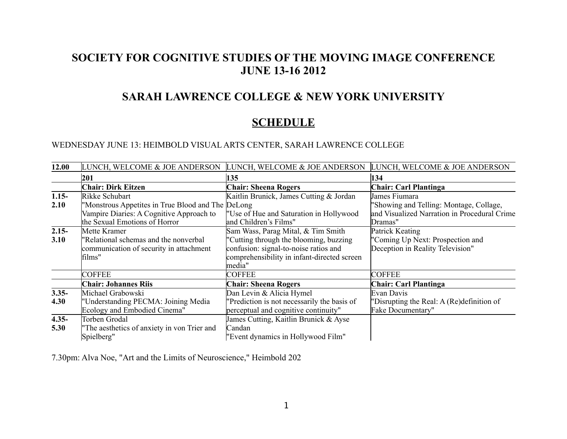## **SOCIETY FOR COGNITIVE STUDIES OF THE MOVING IMAGE CONFERENCE JUNE 13-16 2012**

### **SARAH LAWRENCE COLLEGE & NEW YORK UNIVERSITY**

## **SCHEDULE**

WEDNESDAY JUNE 13: HEIMBOLD VISUAL ARTS CENTER, SARAH LAWRENCE COLLEGE

| 12.00    | LUNCH, WELCOME & JOE ANDERSON                     | LUNCH, WELCOME & JOE ANDERSON               | LUNCH, WELCOME & JOE ANDERSON                |
|----------|---------------------------------------------------|---------------------------------------------|----------------------------------------------|
|          | 201                                               | 135                                         | 134                                          |
|          | <b>Chair: Dirk Eitzen</b>                         | <b>Chair: Sheena Rogers</b>                 | <b>Chair: Carl Plantinga</b>                 |
| $1.15 -$ | Rikke Schubart                                    | Kaitlin Brunick, James Cutting & Jordan     | James Fiumara                                |
| 2.10     | "Monstrous Appetites in True Blood and The DeLong |                                             | "Showing and Telling: Montage, Collage,      |
|          | Vampire Diaries: A Cognitive Approach to          | "Use of Hue and Saturation in Hollywood     | and Visualized Narration in Procedural Crime |
|          | the Sexual Emotions of Horror                     | and Children's Films"                       | Dramas"                                      |
| $2.15 -$ | Mette Kramer                                      | Sam Wass, Parag Mital, & Tim Smith          | Patrick Keating                              |
| 3.10     | "Relational schemas and the nonverbal"            | "Cutting through the blooming, buzzing      | "Coming Up Next: Prospection and             |
|          | communication of security in attachment           | confusion: signal-to-noise ratios and       | Deception in Reality Television"             |
|          | films"                                            | comprehensibility in infant-directed screen |                                              |
|          |                                                   | media"                                      |                                              |
|          | <b>COFFEE</b>                                     | <b>COFFEE</b>                               | <b>COFFEE</b>                                |
|          | <b>Chair: Johannes Riis</b>                       | <b>Chair: Sheena Rogers</b>                 | <b>Chair: Carl Plantinga</b>                 |
| $3.35 -$ | Michael Grabowski                                 | Dan Levin & Alicia Hymel                    | Evan Davis                                   |
| 4.30     | "Understanding PECMA: Joining Media               | "Prediction is not necessarily the basis of | "Disrupting the Real: A (Re) definition of   |
|          | Ecology and Embodied Cinema"                      | perceptual and cognitive continuity"        | Fake Documentary"                            |
| $4.35 -$ | Torben Grodal                                     | James Cutting, Kaitlin Brunick & Ayse       |                                              |
| 5.30     | "The aesthetics of anxiety in von Trier and       | Candan                                      |                                              |
|          | Spielberg"                                        | "Event dynamics in Hollywood Film"          |                                              |

7.30pm: Alva Noe, "Art and the Limits of Neuroscience," Heimbold 202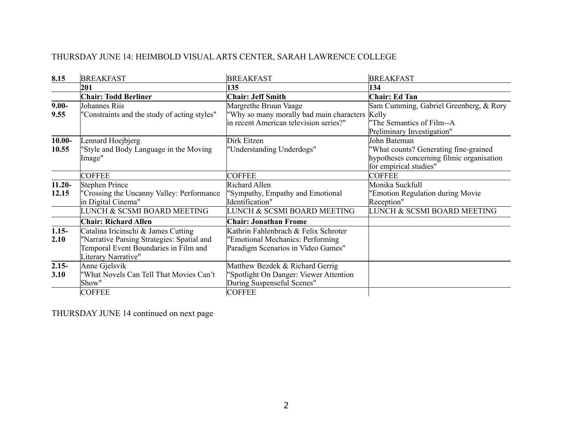## THURSDAY JUNE 14: HEIMBOLD VISUAL ARTS CENTER, SARAH LAWRENCE COLLEGE

| 8.15      | <b>BREAKFAST</b>                             | <b>BREAKFAST</b>                               | <b>BREAKFAST</b>                          |
|-----------|----------------------------------------------|------------------------------------------------|-------------------------------------------|
|           | 201                                          | 135                                            | 134                                       |
|           | <b>Chair: Todd Berliner</b>                  | <b>Chair: Jeff Smith</b>                       | Chair: Ed Tan                             |
| $9.00 -$  | Johannes Riis                                | Margrethe Bruun Vaage                          | Sam Cumming, Gabriel Greenberg, & Rory    |
| 9.55      | "Constraints and the study of acting styles" | 'Why so many morally bad main characters Kelly |                                           |
|           |                                              | in recent American television series?"         | The Semantics of Film--A                  |
|           |                                              |                                                | Preliminary Investigation"                |
| $10.00 -$ | Lennard Hoejbjerg                            | Dirk Eitzen                                    | John Bateman                              |
| 10.55     | "Style and Body Language in the Moving       | 'Understanding Underdogs''                     | 'What counts? Generating fine-grained     |
|           | Image"                                       |                                                | hypotheses concerning filmic organisation |
|           |                                              |                                                | for empirical studies"                    |
|           | <b>COFFEE</b>                                | <b>COFFEE</b>                                  | <b>COFFEE</b>                             |
| $11.20 -$ | Stephen Prince                               | Richard Allen                                  | Monika Suckfull                           |
| 12.15     | 'Crossing the Uncanny Valley: Performance    | 'Sympathy, Empathy and Emotional               | 'Emotion Regulation during Movie          |
|           | in Digital Cinema"                           | Identification"                                | Reception"                                |
|           | LUNCH & SCSMI BOARD MEETING                  | LUNCH & SCSMI BOARD MEETING                    | LUNCH & SCSMI BOARD MEETING               |
|           | <b>Chair: Richard Allen</b>                  | <b>Chair: Jonathan Frome</b>                   |                                           |
| $1.15 -$  | Catalina Iricinschi & James Cutting          | Kathrin Fahlenbrach & Felix Schroter           |                                           |
| 2.10      | "Narrative Parsing Strategies: Spatial and   | 'Emotional Mechanics: Performing               |                                           |
|           | Temporal Event Boundaries in Film and        | Paradigm Scenarios in Video Games"             |                                           |
|           | Literary Narrative"                          |                                                |                                           |
| $2.15 -$  | Anne Gjelsvik                                | Matthew Bezdek & Richard Gerrig                |                                           |
| 3.10      | "What Novels Can Tell That Movies Can't      | 'Spotlight On Danger: Viewer Attention         |                                           |
|           | Show"                                        | During Suspenseful Scenes"                     |                                           |
|           | <b>COFFEE</b>                                | <b>COFFEE</b>                                  |                                           |

THURSDAY JUNE 14 continued on next page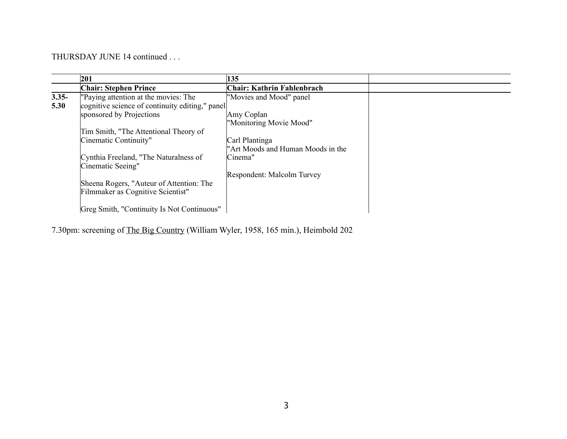THURSDAY JUNE 14 continued . . .

|          | 201                                             | 135                               |  |
|----------|-------------------------------------------------|-----------------------------------|--|
|          | <b>Chair: Stephen Prince</b>                    | Chair: Kathrin Fahlenbrach        |  |
| $3.35 -$ | "Paying attention at the movies: The            | "Movies and Mood" panel           |  |
| 5.30     | cognitive science of continuity editing," panel |                                   |  |
|          | sponsored by Projections                        | Amy Coplan                        |  |
|          |                                                 | "Monitoring Movie Mood"           |  |
|          | Tim Smith, "The Attentional Theory of           |                                   |  |
|          | Cinematic Continuity"                           | Carl Plantinga                    |  |
|          |                                                 | "Art Moods and Human Moods in the |  |
|          | Cynthia Freeland, "The Naturalness of           | Cinema"                           |  |
|          | Cinematic Seeing"                               |                                   |  |
|          |                                                 | Respondent: Malcolm Turvey        |  |
|          | Sheena Rogers, "Auteur of Attention: The        |                                   |  |
|          | Filmmaker as Cognitive Scientist"               |                                   |  |
|          |                                                 |                                   |  |
|          | Greg Smith, "Continuity Is Not Continuous"      |                                   |  |

7.30pm: screening of The Big Country (William Wyler, 1958, 165 min.), Heimbold 202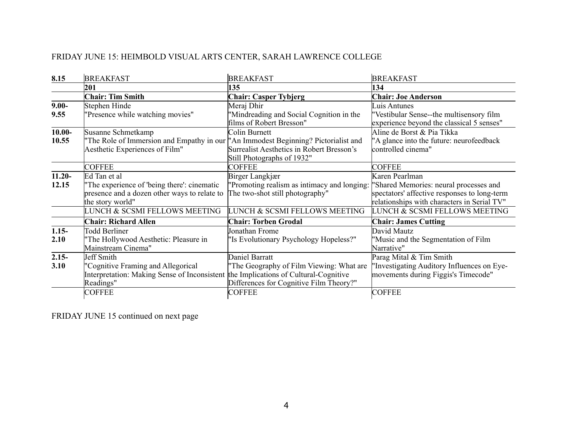## FRIDAY JUNE 15: HEIMBOLD VISUAL ARTS CENTER, SARAH LAWRENCE COLLEGE

| 8.15      | <b>BREAKFAST</b>                                                                                                | <b>BREAKFAST</b>                                                               | <b>BREAKFAST</b>                                                                                                                      |
|-----------|-----------------------------------------------------------------------------------------------------------------|--------------------------------------------------------------------------------|---------------------------------------------------------------------------------------------------------------------------------------|
|           | 201                                                                                                             | 135                                                                            | 134                                                                                                                                   |
|           | <b>Chair: Tim Smith</b>                                                                                         | <b>Chair: Casper Tybjerg</b>                                                   | <b>Chair: Joe Anderson</b>                                                                                                            |
| $9.00 -$  | Stephen Hinde                                                                                                   | Meraj Dhir                                                                     | Luis Antunes                                                                                                                          |
| 9.55      | "Presence while watching movies"                                                                                | 'Mindreading and Social Cognition in the<br>films of Robert Bresson"           | "Vestibular Sense--the multisensory film<br>experience beyond the classical 5 senses"                                                 |
| $10.00 -$ | Susanne Schmetkamp                                                                                              | Colin Burnett                                                                  | Aline de Borst & Pia Tikka                                                                                                            |
| 10.55     | "The Role of Immersion and Empathy in our "An Immodest Beginning? Pictorialist and                              |                                                                                | "A glance into the future: neurofeedback                                                                                              |
|           | Aesthetic Experiences of Film"                                                                                  | Surrealist Aesthetics in Robert Bresson's                                      | controlled cinema"                                                                                                                    |
|           |                                                                                                                 | Still Photographs of 1932"                                                     |                                                                                                                                       |
|           | <b>COFFEE</b>                                                                                                   | <b>COFFEE</b>                                                                  | <b>COFFEE</b>                                                                                                                         |
| $11.20 -$ | Ed Tan et al                                                                                                    | Birger Langkjær                                                                | Karen Pearlman                                                                                                                        |
| 12.15     | "The experience of 'being there': cinematic<br>presence and a dozen other ways to relate to<br>the story world" | 'Promoting realism as intimacy and longing:<br>The two-shot still photography" | "Shared Memories: neural processes and<br>spectators' affective responses to long-term<br>relationships with characters in Serial TV" |
|           | LUNCH & SCSMI FELLOWS MEETING                                                                                   | LUNCH & SCSMI FELLOWS MEETING                                                  | LUNCH & SCSMI FELLOWS MEETING                                                                                                         |
|           | <b>Chair: Richard Allen</b>                                                                                     | <b>Chair: Torben Grodal</b>                                                    | <b>Chair: James Cutting</b>                                                                                                           |
| $1.15 -$  | <b>Todd Berliner</b>                                                                                            | Jonathan Frome                                                                 | David Mautz                                                                                                                           |
| 2.10      | 'The Hollywood Aesthetic: Pleasure in                                                                           | 'Is Evolutionary Psychology Hopeless?"                                         | "Music and the Segmentation of Film                                                                                                   |
|           | Mainstream Cinema"                                                                                              |                                                                                | Narrative"                                                                                                                            |
| $2.15 -$  | Jeff Smith                                                                                                      | Daniel Barratt                                                                 | Parag Mital & Tim Smith                                                                                                               |
| 3.10      | "Cognitive Framing and Allegorical                                                                              | The Geography of Film Viewing: What are                                        | "Investigating Auditory Influences on Eye-                                                                                            |
|           | Interpretation: Making Sense of Inconsistent                                                                    | the Implications of Cultural-Cognitive                                         | movements during Figgis's Timecode"                                                                                                   |
|           | Readings"                                                                                                       | Differences for Cognitive Film Theory?"                                        |                                                                                                                                       |
|           | <b>COFFEE</b>                                                                                                   | <b>COFFEE</b>                                                                  | <b>COFFEE</b>                                                                                                                         |

FRIDAY JUNE 15 continued on next page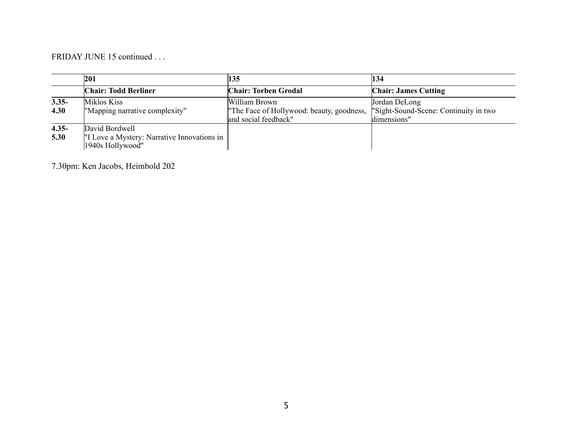FRIDAY JUNE 15 continued . . .

|          | 201                                         | 135                                       | 134                                   |
|----------|---------------------------------------------|-------------------------------------------|---------------------------------------|
|          | <b>Chair: Todd Berliner</b>                 | <b>Chair: Torben Grodal</b>               | <b>Chair: James Cutting</b>           |
| $3.35 -$ | Miklos Kiss                                 | William Brown                             | Jordan DeLong                         |
| 4.30     | "Mapping narrative complexity"              | "The Face of Hollywood: beauty, goodness, | "Sight-Sound-Scene: Continuity in two |
|          |                                             | and social feedback"                      | ldimensions"                          |
| $4.35 -$ | David Bordwell                              |                                           |                                       |
| 5.30     | "I Love a Mystery: Narrative Innovations in |                                           |                                       |
|          | 1940s Hollywood"                            |                                           |                                       |

7.30pm: Ken Jacobs, Heimbold 202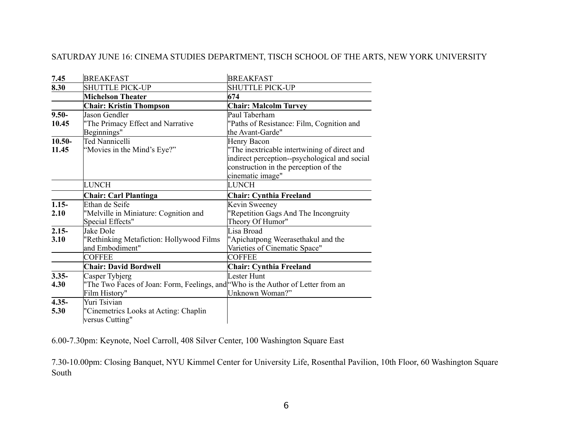#### SATURDAY JUNE 16: CINEMA STUDIES DEPARTMENT, TISCH SCHOOL OF THE ARTS, NEW YORK UNIVERSITY

| 7.45      | <b>BREAKFAST</b>                                                                 | <b>BREAKFAST</b>                              |
|-----------|----------------------------------------------------------------------------------|-----------------------------------------------|
| 8.30      | <b>SHUTTLE PICK-UP</b>                                                           | <b>SHUTTLE PICK-UP</b>                        |
|           | <b>Michelson Theater</b>                                                         | 674                                           |
|           | <b>Chair: Kristin Thompson</b>                                                   | <b>Chair: Malcolm Turvey</b>                  |
| $9.50 -$  | Jason Gendler                                                                    | Paul Taberham                                 |
| 10.45     | "The Primacy Effect and Narrative                                                | "Paths of Resistance: Film, Cognition and     |
|           | Beginnings"                                                                      | the Avant-Garde"                              |
| $10.50 -$ | Ted Nannicelli                                                                   | Henry Bacon                                   |
| 11.45     | "Movies in the Mind's Eye?"                                                      | "The inextricable intertwining of direct and  |
|           |                                                                                  | indirect perception--psychological and social |
|           |                                                                                  | construction in the perception of the         |
|           |                                                                                  | cinematic image"                              |
|           | <b>LUNCH</b>                                                                     | <b>LUNCH</b>                                  |
|           | <b>Chair: Carl Plantinga</b>                                                     | <b>Chair: Cynthia Freeland</b>                |
| $1.15 -$  | Ethan de Seife                                                                   | Kevin Sweeney                                 |
| 2.10      | "Melville in Miniature: Cognition and                                            | "Repetition Gags And The Incongruity          |
|           | Special Effects"                                                                 | Theory Of Humor"                              |
| $2.15 -$  | <b>Jake Dole</b>                                                                 | Lisa Broad                                    |
| 3.10      | "Rethinking Metafiction: Hollywood Films                                         | "Apichatpong Weerasethakul and the            |
|           |                                                                                  |                                               |
|           | and Embodiment"                                                                  | Varieties of Cinematic Space"                 |
|           | <b>COFFEE</b>                                                                    | <b>COFFEE</b>                                 |
|           | <b>Chair: David Bordwell</b>                                                     | <b>Chair: Cynthia Freeland</b>                |
| $3.35 -$  | Casper Tybjerg                                                                   | Lester Hunt                                   |
| 4.30      | "The Two Faces of Joan: Form, Feelings, and "Who is the Author of Letter from an |                                               |
|           | Film History"                                                                    | Unknown Woman?"                               |
| $4.35 -$  | Yuri Tsivian                                                                     |                                               |
| 5.30      | "Cinemetrics Looks at Acting: Chaplin<br>versus Cutting"                         |                                               |

6.00-7.30pm: Keynote, Noel Carroll, 408 Silver Center, 100 Washington Square East

7.30-10.00pm: Closing Banquet, NYU Kimmel Center for University Life, Rosenthal Pavilion, 10th Floor, 60 Washington Square South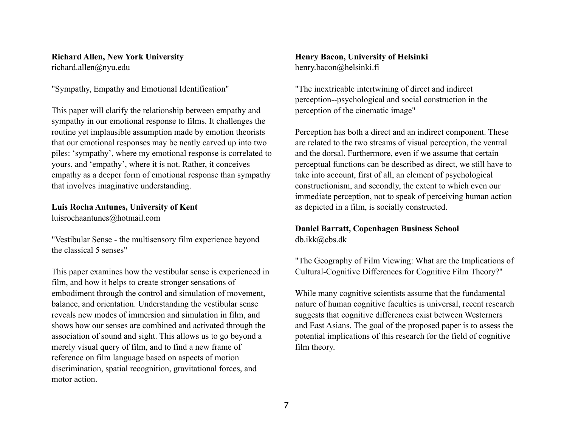## **Richard Allen, New York University**

richard.allen@nyu.edu

"Sympathy, Empathy and Emotional Identification"

This paper will clarify the relationship between empathy and sympathy in our emotional response to films. It challenges the routine yet implausible assumption made by emotion theorists that our emotional responses may be neatly carved up into two piles: 'sympathy', where my emotional response is correlated to yours, and 'empathy', where it is not. Rather, it conceives empathy as a deeper form of emotional response than sympathy that involves imaginative understanding.

## **Luis Rocha Antunes, University of Kent**

luisrochaantunes@hotmail.com

"Vestibular Sense - the multisensory film experience beyond the classical 5 senses"

This paper examines how the vestibular sense is experienced in film, and how it helps to create stronger sensations of embodiment through the control and simulation of movement, balance, and orientation. Understanding the vestibular sense reveals new modes of immersion and simulation in film, and shows how our senses are combined and activated through the association of sound and sight. This allows us to go beyond a merely visual query of film, and to find a new frame of reference on film language based on aspects of motion discrimination, spatial recognition, gravitational forces, and motor action.

#### **Henry Bacon, University of Helsinki** henry.bacon@helsinki.fi

"The inextricable intertwining of direct and indirect perception--psychological and social construction in the perception of the cinematic image"

Perception has both a direct and an indirect component. These are related to the two streams of visual perception, the ventral and the dorsal. Furthermore, even if we assume that certain perceptual functions can be described as direct, we still have to take into account, first of all, an element of psychological constructionism, and secondly, the extent to which even our immediate perception, not to speak of perceiving human action as depicted in a film, is socially constructed.

#### **Daniel Barratt, Copenhagen Business School** [db.ikk@cbs.dk](mailto:db.ikk@cbs.dk)

"The Geography of Film Viewing: What are the Implications of Cultural-Cognitive Differences for Cognitive Film Theory?"

While many cognitive scientists assume that the fundamental nature of human cognitive faculties is universal, recent research suggests that cognitive differences exist between Westerners and East Asians. The goal of the proposed paper is to assess the potential implications of this research for the field of cognitive film theory.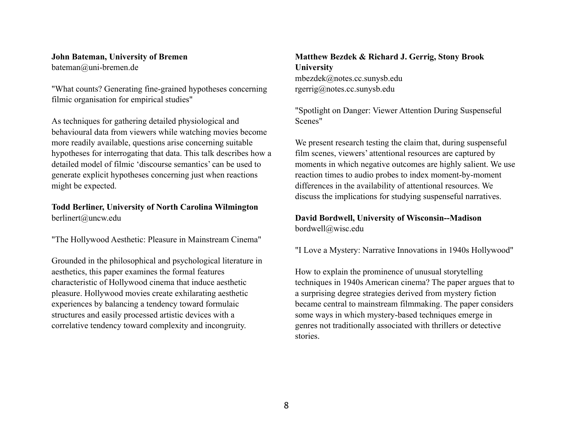#### **John Bateman, University of Bremen** [bateman@uni-bremen.de](mailto:bateman@uni-bremen.de)

"What counts? Generating fine-grained hypotheses concerning filmic organisation for empirical studies"

As techniques for gathering detailed physiological and behavioural data from viewers while watching movies become more readily available, questions arise concerning suitable hypotheses for interrogating that data. This talk describes how a detailed model of filmic 'discourse semantics' can be used to generate explicit hypotheses concerning just when reactions might be expected.

#### **Todd Berliner, University of North Carolina Wilmington** berlinert@uncw.edu

"The Hollywood Aesthetic: Pleasure in Mainstream Cinema"

Grounded in the philosophical and psychological literature in aesthetics, this paper examines the formal features characteristic of Hollywood cinema that induce aesthetic pleasure. Hollywood movies create exhilarating aesthetic experiences by balancing a tendency toward formulaic structures and easily processed artistic devices with a correlative tendency toward complexity and incongruity.

#### **Matthew Bezdek & Richard J. Gerrig, Stony Brook University** [mbezdek@notes.cc.sunysb.edu](mailto:mbezdek@notes.cc.sunysb.edu) [rgerrig@notes.cc.sunysb.edu](mailto:rgerrig@notes.cc.sunysb.edu)

"Spotlight on Danger: Viewer Attention During Suspenseful Scenes"

We present research testing the claim that, during suspenseful film scenes, viewers' attentional resources are captured by moments in which negative outcomes are highly salient. We use reaction times to audio probes to index moment-by-moment differences in the availability of attentional resources. We discuss the implications for studying suspenseful narratives.

#### **David Bordwell, University of Wisconsin--Madison** bordwell@wisc.edu

"I Love a Mystery: Narrative Innovations in 1940s Hollywood"

How to explain the prominence of unusual storytelling techniques in 1940s American cinema? The paper argues that to a surprising degree strategies derived from mystery fiction became central to mainstream filmmaking. The paper considers some ways in which mystery-based techniques emerge in genres not traditionally associated with thrillers or detective stories.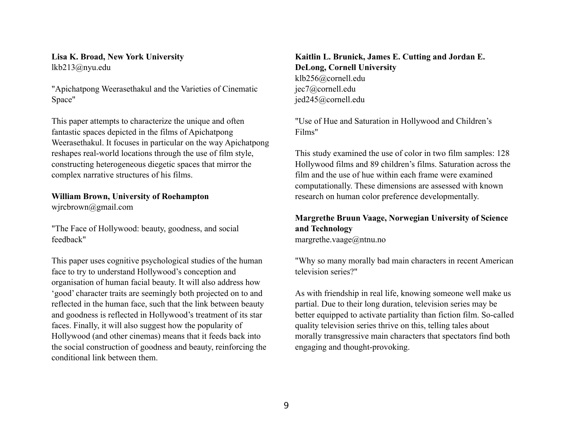#### **Lisa K. Broad, New York University** [lkb213@nyu.edu](mailto:lkb213@nyu.edu)

"Apichatpong Weerasethakul and the Varieties of Cinematic Space"

This paper attempts to characterize the unique and often fantastic spaces depicted in the films of Apichatpong Weerasethakul. It focuses in particular on the way Apichatpong reshapes real-world locations through the use of film style, constructing heterogeneous diegetic spaces that mirror the complex narrative structures of his films.

#### **William Brown, University of Roehampton**

wjrcbrown@gmail.com

"The Face of Hollywood: beauty, goodness, and social feedback"

This paper uses cognitive psychological studies of the human face to try to understand Hollywood's conception and organisation of human facial beauty. It will also address how 'good' character traits are seemingly both projected on to and reflected in the human face, such that the link between beauty and goodness is reflected in Hollywood's treatment of its star faces. Finally, it will also suggest how the popularity of Hollywood (and other cinemas) means that it feeds back into the social construction of goodness and beauty, reinforcing the conditional link between them.

#### **Kaitlin L. Brunick, James E. Cutting and Jordan E. DeLong, Cornell University** [klb256@cornell.edu](mailto:klb256@cornell.edu) [jec7@cornell.edu](mailto:jec7@cornell.edu) [jed245@cornell.edu](mailto:jed245@cornell.edu)

"Use of Hue and Saturation in Hollywood and Children's Films"

This study examined the use of color in two film samples: 128 Hollywood films and 89 children's films. Saturation across the film and the use of hue within each frame were examined computationally. These dimensions are assessed with known research on human color preference developmentally.

#### **Margrethe Bruun Vaage, Norwegian University of Science and Technology** margrethe.vaage@ntnu.no

"Why so many morally bad main characters in recent American television series?"

As with friendship in real life, knowing someone well make us partial. Due to their long duration, television series may be better equipped to activate partiality than fiction film. So-called quality television series thrive on this, telling tales about morally transgressive main characters that spectators find both engaging and thought-provoking.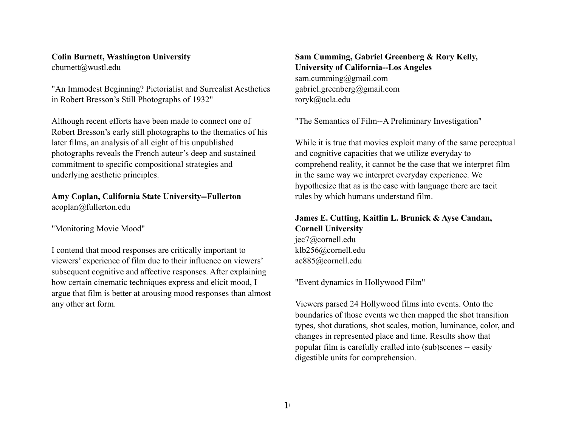#### **Colin Burnett, Washington University** cburnett@wustl.edu

"An Immodest Beginning? Pictorialist and Surrealist Aesthetics in Robert Bresson's Still Photographs of 1932"

Although recent efforts have been made to connect one of Robert Bresson's early still photographs to the thematics of his later films, an analysis of all eight of his unpublished photographs reveals the French auteur's deep and sustained commitment to specific compositional strategies and underlying aesthetic principles.

**Amy Coplan, California State University--Fullerton** [acoplan@fullerton.edu](mailto:acoplan@fullerton.edu)

"Monitoring Movie Mood"

I contend that mood responses are critically important to viewers' experience of film due to their influence on viewers' subsequent cognitive and affective responses. After explaining how certain cinematic techniques express and elicit mood, I argue that film is better at arousing mood responses than almost any other art form.

**Sam Cumming, Gabriel Greenberg & Rory Kelly, University of California--Los Angeles** [sam.cumming@gmail.com](mailto:sam.cumming@gmail.com) [gabriel.greenberg@gmail.com](mailto:gabriel.greenberg@gmail.com) [roryk@ucla.edu](mailto:roryk@ucla.edu)

"The Semantics of Film--A Preliminary Investigation"

While it is true that movies exploit many of the same perceptual and cognitive capacities that we utilize everyday to comprehend reality, it cannot be the case that we interpret film in the same way we interpret everyday experience. We hypothesize that as is the case with language there are tacit rules by which humans understand film.

**James E. Cutting, Kaitlin L. Brunick & Ayse Candan, Cornell University** [jec7@cornell.edu](mailto:Jec7@cornell.edu) [klb256@cornell.edu](mailto:klb256@cornell.edu) [ac885@cornell.edu](mailto:ac885@cornell.edu)

"Event dynamics in Hollywood Film"

Viewers parsed 24 Hollywood films into events. Onto the boundaries of those events we then mapped the shot transition types, shot durations, shot scales, motion, luminance, color, and changes in represented place and time. Results show that popular film is carefully crafted into (sub)scenes -- easily digestible units for comprehension.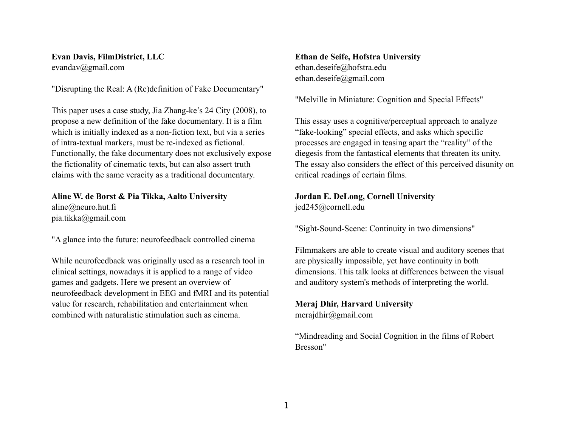#### **Evan Davis, FilmDistrict, LLC** [evandav@gmail.com](mailto:evandav@gmail.com)

"Disrupting the Real: A (Re)definition of Fake Documentary"

This paper uses a case study, Jia Zhang-ke's 24 City (2008), to propose a new definition of the fake documentary. It is a film which is initially indexed as a non-fiction text, but via a series of intra-textual markers, must be re-indexed as fictional. Functionally, the fake documentary does not exclusively expose the fictionality of cinematic texts, but can also assert truth claims with the same veracity as a traditional documentary.

**Aline W. de Borst & Pia Tikka, Aalto University** aline@neuro.hut.fi pia.tikka@gmail.com

"A glance into the future: neurofeedback controlled cinema

While neurofeedback was originally used as a research tool in clinical settings, nowadays it is applied to a range of video games and gadgets. Here we present an overview of neurofeedback development in EEG and fMRI and its potential value for research, rehabilitation and entertainment when combined with naturalistic stimulation such as cinema.

**Ethan de Seife, Hofstra University** [ethan.deseife@hofstra.edu](mailto:Ethan.deseife@hofstra.edu) [ethan.deseife@gmail.com](mailto:ethan.deseife@gmail.com)

"Melville in Miniature: Cognition and Special Effects"

This essay uses a cognitive/perceptual approach to analyze "fake-looking" special effects, and asks which specific processes are engaged in teasing apart the "reality" of the diegesis from the fantastical elements that threaten its unity. The essay also considers the effect of this perceived disunity on critical readings of certain films.

#### **Jordan E. DeLong, Cornell University**

[jed245@cornell.edu](mailto:jed245@cornell.edu)

"Sight-Sound-Scene: Continuity in two dimensions"

Filmmakers are able to create visual and auditory scenes that are physically impossible, yet have continuity in both dimensions. This talk looks at differences between the visual and auditory system's methods of interpreting the world.

#### **Meraj Dhir, Harvard University**

merajdhir@gmail.com

"Mindreading and Social Cognition in the films of Robert Bresson"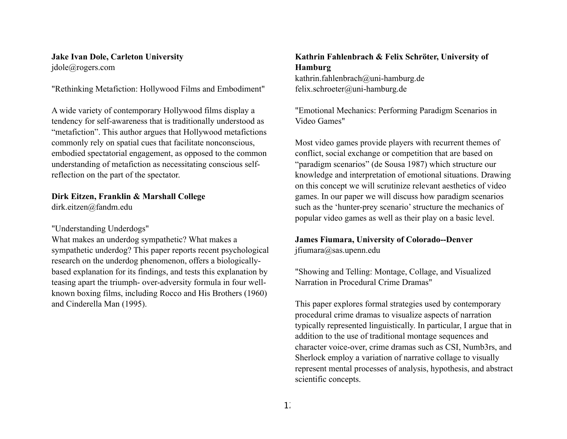#### **Jake Ivan Dole, Carleton University** jdole@rogers.com

"Rethinking Metafiction: Hollywood Films and Embodiment"

A wide variety of contemporary Hollywood films display a tendency for self-awareness that is traditionally understood as "metafiction". This author argues that Hollywood metafictions commonly rely on spatial cues that facilitate nonconscious, embodied spectatorial engagement, as opposed to the common understanding of metafiction as necessitating conscious selfreflection on the part of the spectator.

#### **Dirk Eitzen, Franklin & Marshall College**

dirk.eitzen@fandm.edu

#### "Understanding Underdogs"

What makes an underdog sympathetic? What makes a sympathetic underdog? This paper reports recent psychological research on the underdog phenomenon, offers a biologicallybased explanation for its findings, and tests this explanation by teasing apart the triumph- over-adversity formula in four wellknown boxing films, including Rocco and His Brothers (1960) and Cinderella Man (1995).

#### **Kathrin Fahlenbrach & Felix Schröter, University of Hamburg**

[kathrin.fahlenbrach@uni-hamburg.de](mailto:kathrin.fahlenbrach@uni-hamburg.de) [felix.schroeter@uni-hamburg.de](mailto:felix.schroeter@uni-hamburg.de)

"Emotional Mechanics: Performing Paradigm Scenarios in Video Games"

Most video games provide players with recurrent themes of conflict, social exchange or competition that are based on "paradigm scenarios" (de Sousa 1987) which structure our knowledge and interpretation of emotional situations. Drawing on this concept we will scrutinize relevant aesthetics of video games. In our paper we will discuss how paradigm scenarios such as the 'hunter-prey scenario' structure the mechanics of popular video games as well as their play on a basic level.

#### **James Fiumara, University of Colorado--Denver** jfiumara@sas.upenn.edu

"Showing and Telling: Montage, Collage, and Visualized Narration in Procedural Crime Dramas"

This paper explores formal strategies used by contemporary procedural crime dramas to visualize aspects of narration typically represented linguistically. In particular, I argue that in addition to the use of traditional montage sequences and character voice-over, crime dramas such as CSI, Numb3rs, and Sherlock employ a variation of narrative collage to visually represent mental processes of analysis, hypothesis, and abstract scientific concepts.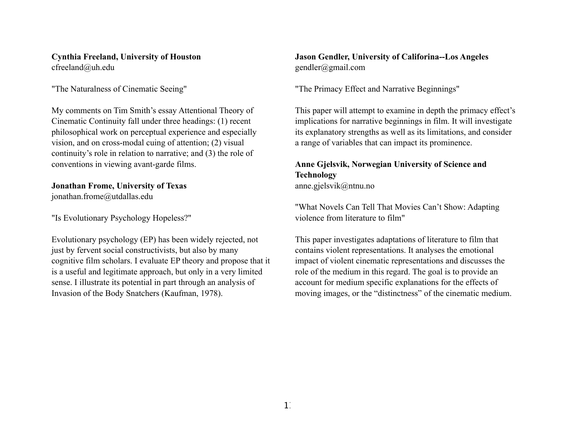**Cynthia Freeland, University of Houston** cfreeland@uh.edu

"The Naturalness of Cinematic Seeing"

My comments on Tim Smith's essay Attentional Theory of Cinematic Continuity fall under three headings: (1) recent philosophical work on perceptual experience and especially vision, and on cross-modal cuing of attention; (2) visual continuity's role in relation to narrative; and (3) the role of conventions in viewing avant-garde films.

#### **Jonathan Frome, University of Texas**

jonathan.frome@utdallas.edu

"Is Evolutionary Psychology Hopeless?"

Evolutionary psychology (EP) has been widely rejected, not just by fervent social constructivists, but also by many cognitive film scholars. I evaluate EP theory and propose that it is a useful and legitimate approach, but only in a very limited sense. I illustrate its potential in part through an analysis of Invasion of the Body Snatchers (Kaufman, 1978).

#### **Jason Gendler, University of Califorina--Los Angeles** [gendler@gmail.com](mailto:gendler@gmail.com)

"The Primacy Effect and Narrative Beginnings"

This paper will attempt to examine in depth the primacy effect's implications for narrative beginnings in film. It will investigate its explanatory strengths as well as its limitations, and consider a range of variables that can impact its prominence.

## **Anne Gjelsvik, Norwegian University of Science and Technology**

[anne.gjelsvik@ntnu.no](mailto:anne.gjelsvik@ntnu.no)

"What Novels Can Tell That Movies Can't Show: Adapting violence from literature to film"

This paper investigates adaptations of literature to film that contains violent representations. It analyses the emotional impact of violent cinematic representations and discusses the role of the medium in this regard. The goal is to provide an account for medium specific explanations for the effects of moving images, or the "distinctness" of the cinematic medium.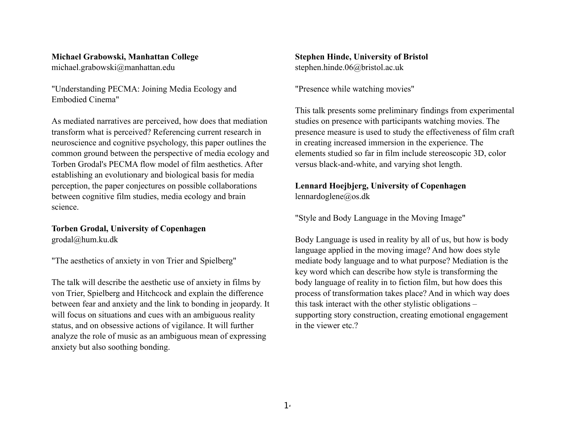#### **Michael Grabowski, Manhattan College**

michael.grabowski@manhattan.edu

"Understanding PECMA: Joining Media Ecology and Embodied Cinema"

As mediated narratives are perceived, how does that mediation transform what is perceived? Referencing current research in neuroscience and cognitive psychology, this paper outlines the common ground between the perspective of media ecology and Torben Grodal's PECMA flow model of film aesthetics. After establishing an evolutionary and biological basis for media perception, the paper conjectures on possible collaborations between cognitive film studies, media ecology and brain science.

**Torben Grodal, University of Copenhagen** grodal@hum.ku.dk

"The aesthetics of anxiety in von Trier and Spielberg"

The talk will describe the aesthetic use of anxiety in films by von Trier, Spielberg and Hitchcock and explain the difference between fear and anxiety and the link to bonding in jeopardy. It will focus on situations and cues with an ambiguous reality status, and on obsessive actions of vigilance. It will further analyze the role of music as an ambiguous mean of expressing anxiety but also soothing bonding.

**Stephen Hinde, University of Bristol** stephen.hinde.06@bristol.ac.uk

"Presence while watching movies"

This talk presents some preliminary findings from experimental studies on presence with participants watching movies. The presence measure is used to study the effectiveness of film craft in creating increased immersion in the experience. The elements studied so far in film include stereoscopic 3D, color versus black-and-white, and varying shot length.

**Lennard Hoejbjerg, University of Copenhagen** lennardoglene@os.dk

"Style and Body Language in the Moving Image"

Body Language is used in reality by all of us, but how is body language applied in the moving image? And how does style mediate body language and to what purpose? Mediation is the key word which can describe how style is transforming the body language of reality in to fiction film, but how does this process of transformation takes place? And in which way does this task interact with the other stylistic obligations – supporting story construction, creating emotional engagement in the viewer etc.?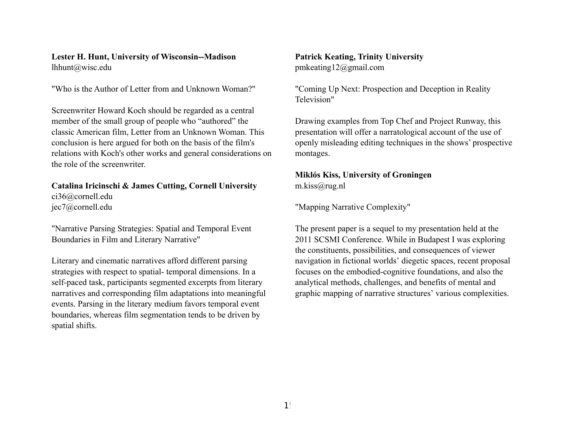#### **Lester H. Hunt, University of Wisconsin--Madison** lhhunt@wisc.edu

"Who is the Author of Letter from and Unknown Woman?"

Screenwriter Howard Koch should be regarded as a central member of the small group of people who "authored" the classic American film, Letter from an Unknown Woman. This conclusion is here argued for both on the basis of the film's relations with Koch's other works and general considerations on the role of the screenwriter.

**Catalina Iricinschi & James Cutting, Cornell University** ci36@cornell.edu jec7@cornell.edu

"Narrative Parsing Strategies: Spatial and Temporal Event Boundaries in Film and Literary Narrative"

Literary and cinematic narratives afford different parsing strategies with respect to spatial- temporal dimensions. In a self-paced task, participants segmented excerpts from literary narratives and corresponding film adaptations into meaningful events. Parsing in the literary medium favors temporal event boundaries, whereas film segmentation tends to be driven by spatial shifts.

## **Patrick Keating, Trinity University**

pmkeating12@gmail.com

"Coming Up Next: Prospection and Deception in Reality Television"

Drawing examples from Top Chef and Project Runway, this presentation will offer a narratological account of the use of openly misleading editing techniques in the shows' prospective montages.

#### **Miklós Kiss, University of Groningen** m.kiss@rug.nl

"Mapping Narrative Complexity"

The present paper is a sequel to my presentation held at the 2011 SCSMI Conference. While in Budapest I was exploring the constituents, possibilities, and consequences of viewer navigation in fictional worlds' diegetic spaces, recent proposal focuses on the embodied-cognitive foundations, and also the analytical methods, challenges, and benefits of mental and graphic mapping of narrative structures' various complexities.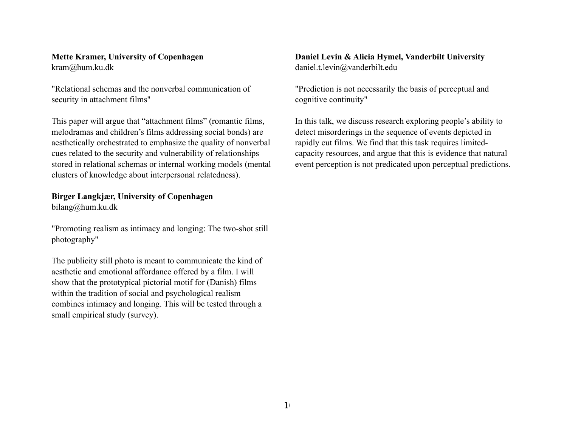#### **Mette Kramer, University of Copenhagen** [kram@hum.ku.dk](mailto:kram@hum.ku.dk)

"Relational schemas and the nonverbal communication of security in attachment films"

This paper will argue that "attachment films" (romantic films, melodramas and children's films addressing social bonds) are aesthetically orchestrated to emphasize the quality of nonverbal cues related to the security and vulnerability of relationships stored in relational schemas or internal working models (mental clusters of knowledge about interpersonal relatedness).

#### **Birger Langkjær, University of Copenhagen**

bilang@hum.ku.dk

"Promoting realism as intimacy and longing: The two-shot still photography"

The publicity still photo is meant to communicate the kind of aesthetic and emotional affordance offered by a film. I will show that the prototypical pictorial motif for (Danish) films within the tradition of social and psychological realism combines intimacy and longing. This will be tested through a small empirical study (survey).

#### **Daniel Levin & Alicia Hymel, Vanderbilt University** daniel.t.levin@vanderbilt.edu

"Prediction is not necessarily the basis of perceptual and cognitive continuity"

In this talk, we discuss research exploring people's ability to detect misorderings in the sequence of events depicted in rapidly cut films. We find that this task requires limitedcapacity resources, and argue that this is evidence that natural event perception is not predicated upon perceptual predictions.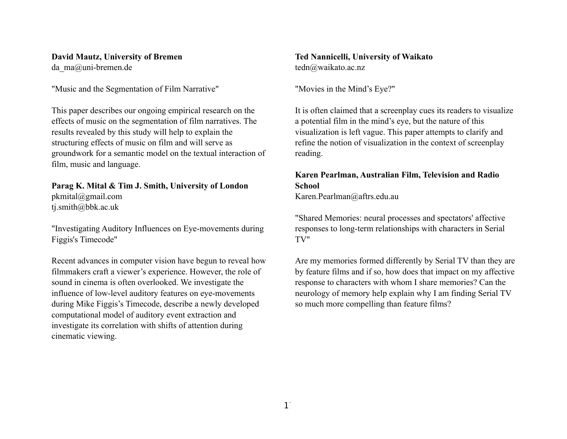#### **David Mautz, University of Bremen**

da ma@uni-bremen.de

"Music and the Segmentation of Film Narrative"

This paper describes our ongoing empirical research on the effects of music on the segmentation of film narratives. The results revealed by this study will help to explain the structuring effects of music on film and will serve as groundwork for a semantic model on the textual interaction of film, music and language.

**Parag K. Mital & Tim J. Smith, University of London** pkmital@gmail.com tj.smith@bbk.ac.uk

"Investigating Auditory Influences on Eye-movements during Figgis's Timecode"

Recent advances in computer vision have begun to reveal how filmmakers craft a viewer's experience. However, the role of sound in cinema is often overlooked. We investigate the influence of low-level auditory features on eye-movements during Mike Figgis's Timecode, describe a newly developed computational model of auditory event extraction and investigate its correlation with shifts of attention during cinematic viewing.

**Ted Nannicelli, University of Waikato** [tedn@waikato.ac.nz](mailto:tedn@waikato.ac.nz)

"Movies in the Mind's Eye?"

It is often claimed that a screenplay cues its readers to visualize a potential film in the mind's eye, but the nature of this visualization is left vague. This paper attempts to clarify and refine the notion of visualization in the context of screenplay reading.

### **Karen Pearlman, Australian Film, Television and Radio School**

[Karen.Pearlman@aftrs.edu.au](mailto:karenrachelpearlman@gmail.com)

"Shared Memories: neural processes and spectators' affective responses to long-term relationships with characters in Serial TV"

Are my memories formed differently by Serial TV than they are by feature films and if so, how does that impact on my affective response to characters with whom I share memories? Can the neurology of memory help explain why I am finding Serial TV so much more compelling than feature films?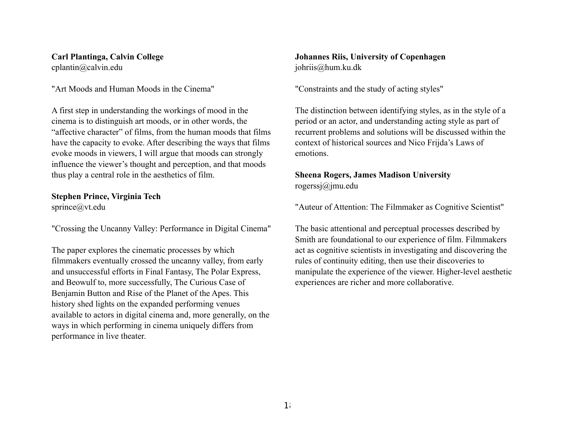#### **Carl Plantinga, Calvin College** [cplantin@calvin.edu](mailto:cplantin@calvin.edu)

"Art Moods and Human Moods in the Cinema"

A first step in understanding the workings of mood in the cinema is to distinguish art moods, or in other words, the "affective character" of films, from the human moods that films have the capacity to evoke. After describing the ways that films evoke moods in viewers, I will argue that moods can strongly influence the viewer's thought and perception, and that moods thus play a central role in the aesthetics of film.

## **Stephen Prince, Virginia Tech**

[sprince@vt.edu](mailto:sprince@vt.edu)

"Crossing the Uncanny Valley: Performance in Digital Cinema"

The paper explores the cinematic processes by which filmmakers eventually crossed the uncanny valley, from early and unsuccessful efforts in Final Fantasy, The Polar Express, and Beowulf to, more successfully, The Curious Case of Benjamin Button and Rise of the Planet of the Apes. This history shed lights on the expanded performing venues available to actors in digital cinema and, more generally, on the ways in which performing in cinema uniquely differs from performance in live theater.

#### **Johannes Riis, University of Copenhagen** johriis@hum.ku.dk

"Constraints and the study of acting styles"

The distinction between identifying styles, as in the style of a period or an actor, and understanding acting style as part of recurrent problems and solutions will be discussed within the context of historical sources and Nico Frijda's Laws of emotions.

#### **Sheena Rogers, James Madison University** [rogerssj@jmu.edu](mailto:rogerssj@jmu.edu)

"Auteur of Attention: The Filmmaker as Cognitive Scientist"

The basic attentional and perceptual processes described by Smith are foundational to our experience of film. Filmmakers act as cognitive scientists in investigating and discovering the rules of continuity editing, then use their discoveries to manipulate the experience of the viewer. Higher-level aesthetic experiences are richer and more collaborative.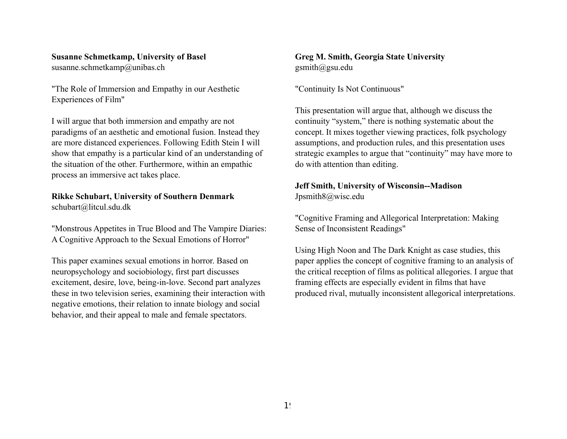### **Susanne Schmetkamp, University of Basel**

susanne.schmetkamp@unibas.ch

"The Role of Immersion and Empathy in our Aesthetic Experiences of Film"

I will argue that both immersion and empathy are not paradigms of an aesthetic and emotional fusion. Instead they are more distanced experiences. Following Edith Stein I will show that empathy is a particular kind of an understanding of the situation of the other. Furthermore, within an empathic process an immersive act takes place.

## **Rikke Schubart, University of Southern Denmark**

[schubart@litcul.sdu.dk](mailto:schubart@litcul.sdu.dk)

"Monstrous Appetites in True Blood and The Vampire Diaries: A Cognitive Approach to the Sexual Emotions of Horror"

This paper examines sexual emotions in horror. Based on neuropsychology and sociobiology, first part discusses excitement, desire, love, being-in-love. Second part analyzes these in two television series, examining their interaction with negative emotions, their relation to innate biology and social behavior, and their appeal to male and female spectators.

**Greg M. Smith, Georgia State University** gsmith@gsu.edu

"Continuity Is Not Continuous"

This presentation will argue that, although we discuss the continuity "system," there is nothing systematic about the concept. It mixes together viewing practices, folk psychology assumptions, and production rules, and this presentation uses strategic examples to argue that "continuity" may have more to do with attention than editing.

# **Jeff Smith, University of Wisconsin--Madison**

Jpsmith8@wisc.edu

"Cognitive Framing and Allegorical Interpretation: Making Sense of Inconsistent Readings"

Using High Noon and The Dark Knight as case studies, this paper applies the concept of cognitive framing to an analysis of the critical reception of films as political allegories. I argue that framing effects are especially evident in films that have produced rival, mutually inconsistent allegorical interpretations.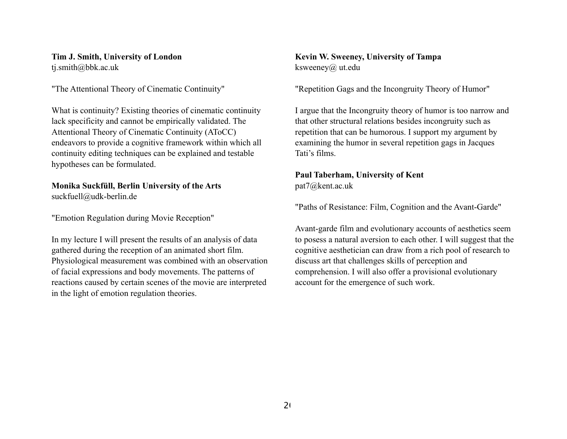#### **Tim J. Smith, University of London** tj.smith@bbk.ac.uk

"The Attentional Theory of Cinematic Continuity"

What is continuity? Existing theories of cinematic continuity lack specificity and cannot be empirically validated. The Attentional Theory of Cinematic Continuity (AToCC) endeavors to provide a cognitive framework within which all continuity editing techniques can be explained and testable hypotheses can be formulated.

### **Monika Suckfüll, Berlin University of the Arts**

[suckfuell@udk-berlin.de](mailto:suckfuell@udk-berlin.de)

"Emotion Regulation during Movie Reception"

In my lecture I will present the results of an analysis of data gathered during the reception of an animated short film. Physiological measurement was combined with an observation of facial expressions and body movements. The patterns of reactions caused by certain scenes of the movie are interpreted in the light of emotion regulation theories.

**Kevin W. Sweeney, University of Tampa** ksweeney@ ut.edu

"Repetition Gags and the Incongruity Theory of Humor"

I argue that the Incongruity theory of humor is too narrow and that other structural relations besides incongruity such as repetition that can be humorous. I support my argument by examining the humor in several repetition gags in Jacques Tati's films.

#### **Paul Taberham, University of Kent** pat7@kent.ac.uk

"Paths of Resistance: Film, Cognition and the Avant-Garde"

Avant-garde film and evolutionary accounts of aesthetics seem to posess a natural aversion to each other. I will suggest that the cognitive aesthetician can draw from a rich pool of research to discuss art that challenges skills of perception and comprehension. I will also offer a provisional evolutionary account for the emergence of such work.